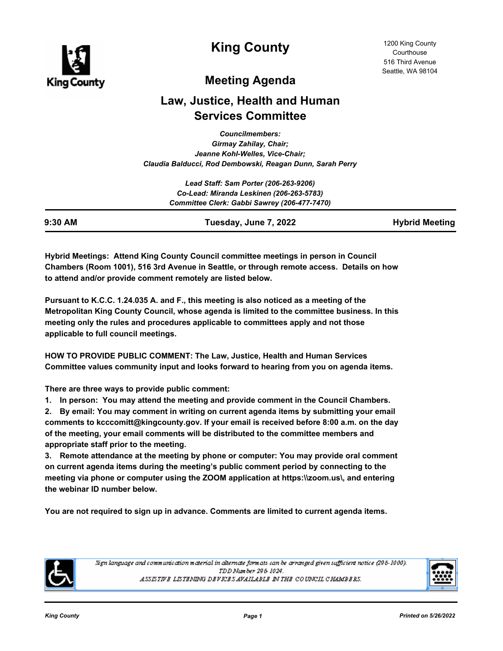

**King County**

## **Meeting Agenda**

# **Law, Justice, Health and Human Services Committee**

*Councilmembers: Girmay Zahilay, Chair; Jeanne Kohl-Welles, Vice-Chair; Claudia Balducci, Rod Dembowski, Reagan Dunn, Sarah Perry*

| 9:30 AM | Tuesday, June 7, 2022                        | <b>Hybrid Meeting</b> |
|---------|----------------------------------------------|-----------------------|
|         | Committee Clerk: Gabbi Sawrey (206-477-7470) |                       |
|         | Co-Lead: Miranda Leskinen (206-263-5783)     |                       |
|         | Lead Staff: Sam Porter (206-263-9206)        |                       |

**Hybrid Meetings: Attend King County Council committee meetings in person in Council Chambers (Room 1001), 516 3rd Avenue in Seattle, or through remote access. Details on how to attend and/or provide comment remotely are listed below.**

**Pursuant to K.C.C. 1.24.035 A. and F., this meeting is also noticed as a meeting of the Metropolitan King County Council, whose agenda is limited to the committee business. In this meeting only the rules and procedures applicable to committees apply and not those applicable to full council meetings.**

**HOW TO PROVIDE PUBLIC COMMENT: The Law, Justice, Health and Human Services Committee values community input and looks forward to hearing from you on agenda items.**

**There are three ways to provide public comment:**

**1. In person: You may attend the meeting and provide comment in the Council Chambers.**

**2. By email: You may comment in writing on current agenda items by submitting your email comments to kcccomitt@kingcounty.gov. If your email is received before 8:00 a.m. on the day of the meeting, your email comments will be distributed to the committee members and appropriate staff prior to the meeting.** 

**3. Remote attendance at the meeting by phone or computer: You may provide oral comment on current agenda items during the meeting's public comment period by connecting to the meeting via phone or computer using the ZOOM application at https:\\zoom.us\, and entering the webinar ID number below.** 

**You are not required to sign up in advance. Comments are limited to current agenda items.**



Sign language and communication material in alternate formats can be arranged given sufficient notice (296-1000). TDD Number 296-1024. ASSISTIVE LISTENING DEVICES AVAILABLE IN THE COUNCIL CHAMBERS.

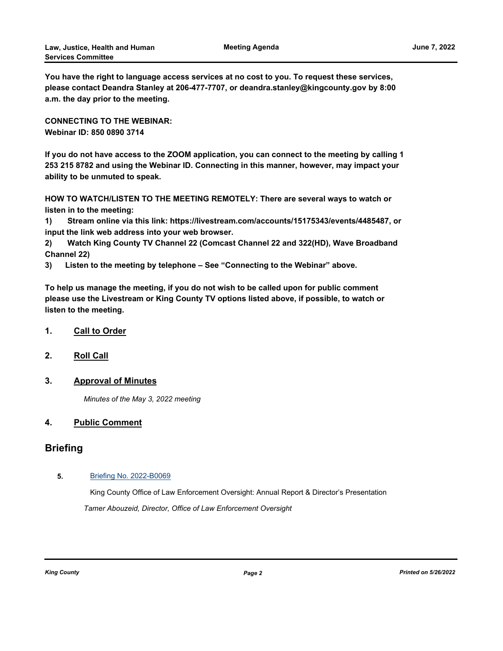**You have the right to language access services at no cost to you. To request these services, please contact Deandra Stanley at 206-477-7707, or deandra.stanley@kingcounty.gov by 8:00 a.m. the day prior to the meeting.**

**CONNECTING TO THE WEBINAR: Webinar ID: 850 0890 3714**

**If you do not have access to the ZOOM application, you can connect to the meeting by calling 1 253 215 8782 and using the Webinar ID. Connecting in this manner, however, may impact your ability to be unmuted to speak.** 

**HOW TO WATCH/LISTEN TO THE MEETING REMOTELY: There are several ways to watch or listen in to the meeting:**

**1) Stream online via this link: https://livestream.com/accounts/15175343/events/4485487, or input the link web address into your web browser.**

**2) Watch King County TV Channel 22 (Comcast Channel 22 and 322(HD), Wave Broadband Channel 22)**

**3) Listen to the meeting by telephone – See "Connecting to the Webinar" above.**

**To help us manage the meeting, if you do not wish to be called upon for public comment please use the Livestream or King County TV options listed above, if possible, to watch or listen to the meeting.**

- **1. Call to Order**
- **2. Roll Call**
- **3. Approval of Minutes**

*Minutes of the May 3, 2022 meeting*

### **4. Public Comment**

### **Briefing**

#### **5.** [Briefing No. 2022-B0069](http://kingcounty.legistar.com/gateway.aspx?m=l&id=/matter.aspx?key=23136)

King County Office of Law Enforcement Oversight: Annual Report & Director's Presentation *Tamer Abouzeid, Director, Office of Law Enforcement Oversight*